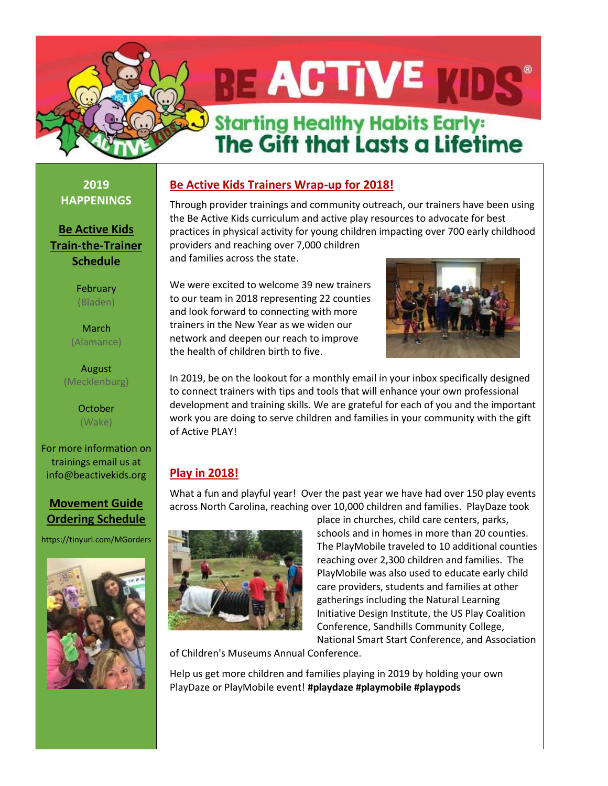# **RE ACTIVE Starting Healthy Habits Early:** The Gift that Lasts a Lifetime

**2019 HAPPENINGS**

**Be Active Kids Train-the-Trainer Schedule**

> February (Bladen)

March (Alamance)

August (Mecklenburg)

> **October** (Wake)

For more information on trainings email us at info@beactivekids.org

## **[Movement Guide](mailto:http://click.icptrack.com/icp/relay.php?r=1234958&msgid=156677&act=9DGV&c=1494078&destination=http%3A%2F%2Fwww.beactivekids.org%2Ffor-trainers%2Fmovement-guide-kit-shipping-procedures%2F)  [Ordering Schedule](mailto:http://click.icptrack.com/icp/relay.php?r=1234958&msgid=156677&act=9DGV&c=1494078&destination=http%3A%2F%2Fwww.beactivekids.org%2Ffor-trainers%2Fmovement-guide-kit-shipping-procedures%2F)**

https://tinyurl.com/MGorders



# **Be Active Kids Trainers Wrap-up for 2018!**

Through provider trainings and community outreach, our trainers have been using the Be Active Kids curriculum and active play resources to advocate for best practices in physical activity for young children impacting over 700 early childhood providers and reaching over 7,000 children

and families across the state.

We were excited to welcome 39 new trainers to our team in 2018 representing 22 counties and look forward to connecting with more trainers in the New Year as we widen our network and deepen our reach to improve the health of children birth to five.



In 2019, be on the lookout for a monthly email in your inbox specifically designed to connect trainers with tips and tools that will enhance your own professional development and training skills. We are grateful for each of you and the important work you are doing to serve children and families in your community with the gift of Active PLAY!

# **Play in 2018!**

What a fun and playful year! Over the past year we have had over 150 play events across North Carolina, reaching over 10,000 children and families. PlayDaze took



place in churches, child care centers, parks, schools and in homes in more than 20 counties. The PlayMobile traveled to 10 additional counties reaching over 2,300 children and families. The PlayMobile was also used to educate early child care providers, students and families at other gatherings including the Natural Learning Initiative Design Institute, the US Play Coalition Conference, Sandhills Community College, National Smart Start Conference, and Association

of Children's Museums Annual Conference.

Help us get more children and families playing in 2019 by holding your own PlayDaze or PlayMobile event! **#playdaze #playmobile #playpods**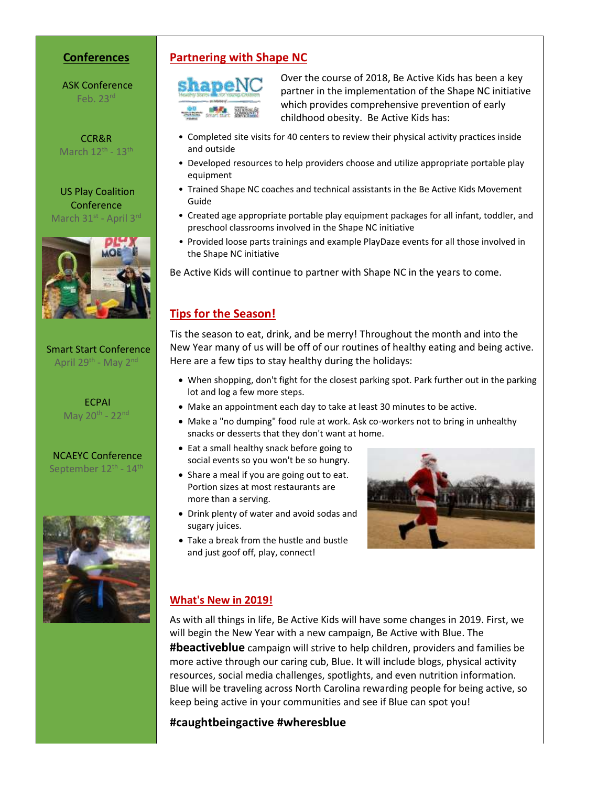#### **Conferences**

ASK Conference Feb. 23rd

CCR&R March  $12^{\text{th}}$  -  $13^{\text{th}}$ 

US Play Coalition Conference March 31<sup>st</sup> - April 3<sup>rd</sup>



#### Smart Start Conference April 29<sup>th</sup> - May 2<sup>nd</sup>

ECPAI May  $20^{th}$  -  $22^{nd}$ 

NCAEYC Conference September 12<sup>th</sup> - 14<sup>th</sup>



#### **Partnering with Shape NC**



Over the course of 2018, Be Active Kids has been a key partner in the implementation of the Shape NC initiative which provides comprehensive prevention of early childhood obesity. Be Active Kids has:

- Completed site visits for 40 centers to review their physical activity practices inside and outside
- Developed resources to help providers choose and utilize appropriate portable play equipment
- Trained Shape NC coaches and technical assistants in the Be Active Kids Movement Guide
- Created age appropriate portable play equipment packages for all infant, toddler, and preschool classrooms involved in the Shape NC initiative
- Provided loose parts trainings and example PlayDaze events for all those involved in the Shape NC initiative

Be Active Kids will continue to partner with Shape NC in the years to come.

#### **Tips for the Season!**

Tis the season to eat, drink, and be merry! Throughout the month and into the New Year many of us will be off of our routines of healthy eating and being active. Here are a few tips to stay healthy during the holidays:

- When shopping, don't fight for the closest parking spot. Park further out in the parking lot and log a few more steps.
- Make an appointment each day to take at least 30 minutes to be active.
- Make a "no dumping" food rule at work. Ask co-workers not to bring in unhealthy snacks or desserts that they don't want at home.
- Eat a small healthy snack before going to social events so you won't be so hungry.
- Share a meal if you are going out to eat. Portion sizes at most restaurants are more than a serving.
- Drink plenty of water and avoid sodas and sugary juices.
- Take a break from the hustle and bustle and just goof off, play, connect!



#### **What's New in 2019!**

As with all things in life, Be Active Kids will have some changes in 2019. First, we will begin the New Year with a new campaign, Be Active with Blue. The **#beactiveblue** campaign will strive to help children, providers and families be more active through our caring cub, Blue. It will include blogs, physical activity resources, social media challenges, spotlights, and even nutrition information. Blue will be traveling across North Carolina rewarding people for being active, so keep being active in your communities and see if Blue can spot you!

#### **#caughtbeingactive #wheresblue**